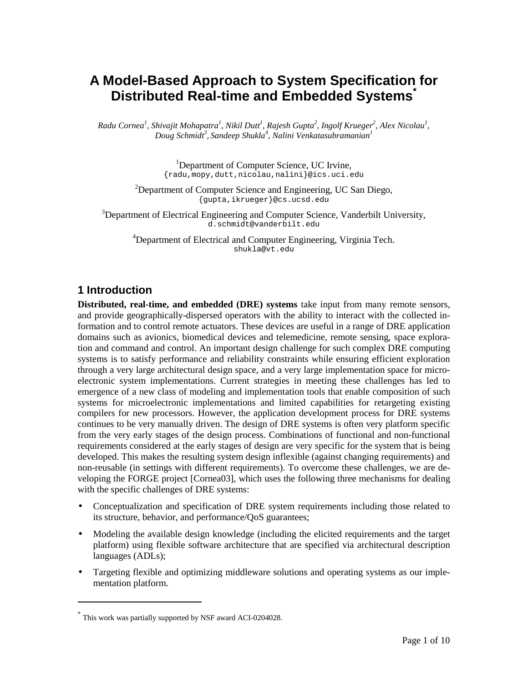# **A Model-Based Approach to System Specification for Distributed Real-time and Embedded Systems\***

*Radu Cornea<sup>1</sup> , Shivajit Mohapatra<sup>1</sup> , Nikil Dutt1 , Rajesh Gupta<sup>2</sup> , Ingolf Krueger2 , Alex Nicolau<sup>1</sup> , Doug Schmidt3 , Sandeep Shukla<sup>4</sup> , Nalini Venkatasubramanian<sup>1</sup>*

> <sup>1</sup>Department of Computer Science, UC Irvine, {radu,mopy,dutt,nicolau,nalini}@ics.uci.edu

<sup>2</sup>Department of Computer Science and Engineering, UC San Diego, {gupta,ikrueger}@cs.ucsd.edu

<sup>3</sup>Department of Electrical Engineering and Computer Science, Vanderbilt University, d.schmidt@vanderbilt.edu

<sup>4</sup>Department of Electrical and Computer Engineering, Virginia Tech. shukla@vt.edu

#### **1 Introduction**

 $\overline{a}$ 

**Distributed, real-time, and embedded (DRE) systems** take input from many remote sensors, and provide geographically-dispersed operators with the ability to interact with the collected information and to control remote actuators. These devices are useful in a range of DRE application domains such as avionics, biomedical devices and telemedicine, remote sensing, space exploration and command and control. An important design challenge for such complex DRE computing systems is to satisfy performance and reliability constraints while ensuring efficient exploration through a very large architectural design space, and a very large implementation space for microelectronic system implementations. Current strategies in meeting these challenges has led to emergence of a new class of modeling and implementation tools that enable composition of such systems for microelectronic implementations and limited capabilities for retargeting existing compilers for new processors. However, the application development process for DRE systems continues to be very manually driven. The design of DRE systems is often very platform specific from the very early stages of the design process. Combinations of functional and non-functional requirements considered at the early stages of design are very specific for the system that is being developed. This makes the resulting system design inflexible (against changing requirements) and non-reusable (in settings with different requirements). To overcome these challenges, we are developing the FORGE project [Cornea03], which uses the following three mechanisms for dealing with the specific challenges of DRE systems:

- Conceptualization and specification of DRE system requirements including those related to its structure, behavior, and performance/QoS guarantees;
- Modeling the available design knowledge (including the elicited requirements and the target platform) using flexible software architecture that are specified via architectural description languages (ADLs);
- Targeting flexible and optimizing middleware solutions and operating systems as our implementation platform.

This work was partially supported by NSF award ACI-0204028.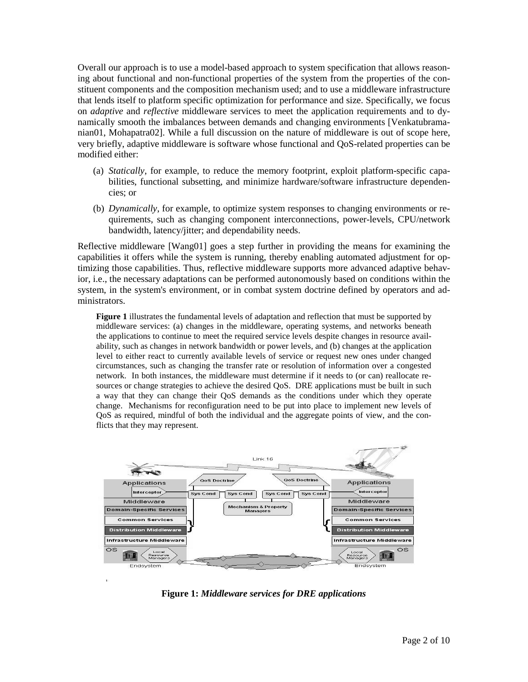Overall our approach is to use a model-based approach to system specification that allows reasoning about functional and non-functional properties of the system from the properties of the constituent components and the composition mechanism used; and to use a middleware infrastructure that lends itself to platform specific optimization for performance and size. Specifically, we focus on *adaptive* and *reflective* middleware services to meet the application requirements and to dynamically smooth the imbalances between demands and changing environments [Venkatubramanian01, Mohapatra02]. While a full discussion on the nature of middleware is out of scope here, very briefly, adaptive middleware is software whose functional and QoS-related properties can be modified either:

- (a) *Statically*, for example, to reduce the memory footprint, exploit platform-specific capabilities, functional subsetting, and minimize hardware/software infrastructure dependencies; or
- (b) *Dynamically*, for example, to optimize system responses to changing environments or requirements, such as changing component interconnections, power-levels, CPU/network bandwidth, latency/jitter; and dependability needs.

Reflective middleware [Wang01] goes a step further in providing the means for examining the capabilities it offers while the system is running, thereby enabling automated adjustment for optimizing those capabilities. Thus, reflective middleware supports more advanced adaptive behavior, i.e., the necessary adaptations can be performed autonomously based on conditions within the system, in the system's environment, or in combat system doctrine defined by operators and administrators.

**Figure 1** illustrates the fundamental levels of adaptation and reflection that must be supported by middleware services: (a) changes in the middleware, operating systems, and networks beneath the applications to continue to meet the required service levels despite changes in resource availability, such as changes in network bandwidth or power levels, and (b) changes at the application level to either react to currently available levels of service or request new ones under changed circumstances, such as changing the transfer rate or resolution of information over a congested network. In both instances, the middleware must determine if it needs to (or can) reallocate resources or change strategies to achieve the desired QoS. DRE applications must be built in such a way that they can change their QoS demands as the conditions under which they operate change. Mechanisms for reconfiguration need to be put into place to implement new levels of QoS as required, mindful of both the individual and the aggregate points of view, and the conflicts that they may represent.



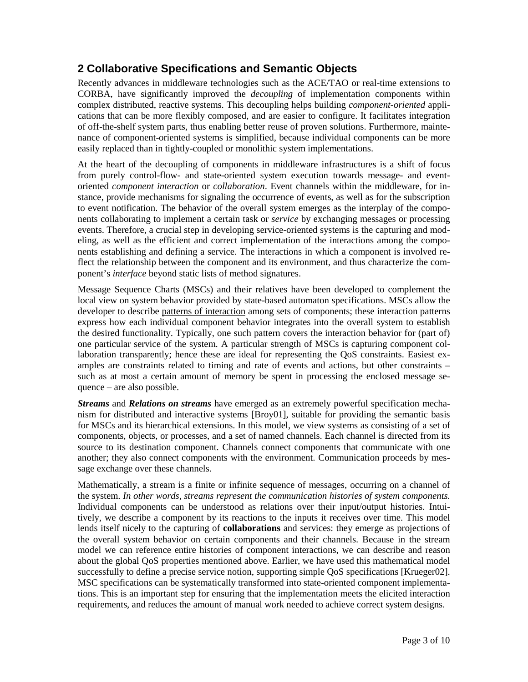# **2 Collaborative Specifications and Semantic Objects**

Recently advances in middleware technologies such as the ACE/TAO or real-time extensions to CORBA, have significantly improved the *decoupling* of implementation components within complex distributed, reactive systems. This decoupling helps building *component-oriented* applications that can be more flexibly composed, and are easier to configure. It facilitates integration of off-the-shelf system parts, thus enabling better reuse of proven solutions. Furthermore, maintenance of component-oriented systems is simplified, because individual components can be more easily replaced than in tightly-coupled or monolithic system implementations.

At the heart of the decoupling of components in middleware infrastructures is a shift of focus from purely control-flow- and state-oriented system execution towards message- and eventoriented *component interaction* or *collaboration*. Event channels within the middleware, for instance, provide mechanisms for signaling the occurrence of events, as well as for the subscription to event notification. The behavior of the overall system emerges as the interplay of the components collaborating to implement a certain task or *service* by exchanging messages or processing events. Therefore, a crucial step in developing service-oriented systems is the capturing and modeling, as well as the efficient and correct implementation of the interactions among the components establishing and defining a service. The interactions in which a component is involved reflect the relationship between the component and its environment, and thus characterize the component's *interface* beyond static lists of method signatures.

Message Sequence Charts (MSCs) and their relatives have been developed to complement the local view on system behavior provided by state-based automaton specifications. MSCs allow the developer to describe patterns of interaction among sets of components; these interaction patterns express how each individual component behavior integrates into the overall system to establish the desired functionality. Typically, one such pattern covers the interaction behavior for (part of) one particular service of the system. A particular strength of MSCs is capturing component collaboration transparently; hence these are ideal for representing the QoS constraints. Easiest examples are constraints related to timing and rate of events and actions, but other constraints – such as at most a certain amount of memory be spent in processing the enclosed message sequence – are also possible.

*Streams* and *Relations on streams* have emerged as an extremely powerful specification mechanism for distributed and interactive systems [Broy01], suitable for providing the semantic basis for MSCs and its hierarchical extensions. In this model, we view systems as consisting of a set of components, objects, or processes, and a set of named channels. Each channel is directed from its source to its destination component. Channels connect components that communicate with one another; they also connect components with the environment. Communication proceeds by message exchange over these channels.

Mathematically, a stream is a finite or infinite sequence of messages, occurring on a channel of the system. *In other words, streams represent the communication histories of system components.* Individual components can be understood as relations over their input/output histories. Intuitively, we describe a component by its reactions to the inputs it receives over time. This model lends itself nicely to the capturing of **collaborations** and services: they emerge as projections of the overall system behavior on certain components and their channels. Because in the stream model we can reference entire histories of component interactions, we can describe and reason about the global QoS properties mentioned above. Earlier, we have used this mathematical model successfully to define a precise service notion, supporting simple QoS specifications [Krueger02]. MSC specifications can be systematically transformed into state-oriented component implementations. This is an important step for ensuring that the implementation meets the elicited interaction requirements, and reduces the amount of manual work needed to achieve correct system designs.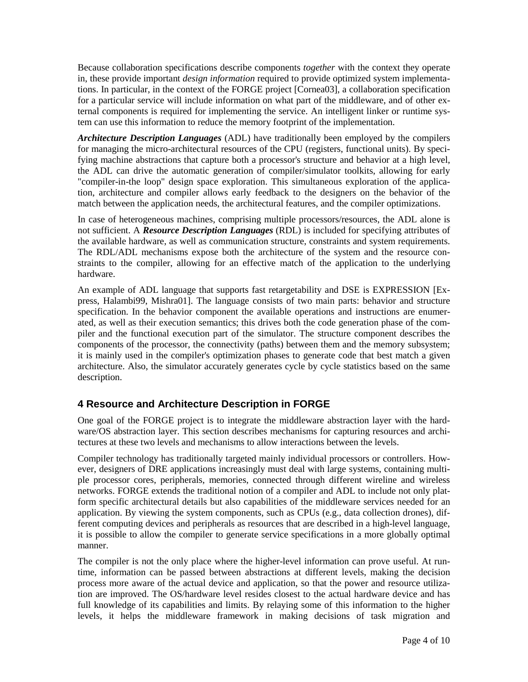Because collaboration specifications describe components *together* with the context they operate in, these provide important *design information* required to provide optimized system implementations. In particular, in the context of the FORGE project [Cornea03], a collaboration specification for a particular service will include information on what part of the middleware, and of other external components is required for implementing the service. An intelligent linker or runtime system can use this information to reduce the memory footprint of the implementation.

*Architecture Description Languages* (ADL) have traditionally been employed by the compilers for managing the micro-architectural resources of the CPU (registers, functional units). By specifying machine abstractions that capture both a processor's structure and behavior at a high level, the ADL can drive the automatic generation of compiler/simulator toolkits, allowing for early "compiler-in-the loop" design space exploration. This simultaneous exploration of the application, architecture and compiler allows early feedback to the designers on the behavior of the match between the application needs, the architectural features, and the compiler optimizations.

In case of heterogeneous machines, comprising multiple processors/resources, the ADL alone is not sufficient. A *Resource Description Languages* (RDL) is included for specifying attributes of the available hardware, as well as communication structure, constraints and system requirements. The RDL/ADL mechanisms expose both the architecture of the system and the resource constraints to the compiler, allowing for an effective match of the application to the underlying hardware.

An example of ADL language that supports fast retargetability and DSE is EXPRESSION [Express, Halambi99, Mishra01]. The language consists of two main parts: behavior and structure specification. In the behavior component the available operations and instructions are enumerated, as well as their execution semantics; this drives both the code generation phase of the compiler and the functional execution part of the simulator. The structure component describes the components of the processor, the connectivity (paths) between them and the memory subsystem; it is mainly used in the compiler's optimization phases to generate code that best match a given architecture. Also, the simulator accurately generates cycle by cycle statistics based on the same description.

### **4 Resource and Architecture Description in FORGE**

One goal of the FORGE project is to integrate the middleware abstraction layer with the hardware/OS abstraction layer. This section describes mechanisms for capturing resources and architectures at these two levels and mechanisms to allow interactions between the levels.

Compiler technology has traditionally targeted mainly individual processors or controllers. However, designers of DRE applications increasingly must deal with large systems, containing multiple processor cores, peripherals, memories, connected through different wireline and wireless networks. FORGE extends the traditional notion of a compiler and ADL to include not only platform specific architectural details but also capabilities of the middleware services needed for an application. By viewing the system components, such as CPUs (e.g., data collection drones), different computing devices and peripherals as resources that are described in a high-level language, it is possible to allow the compiler to generate service specifications in a more globally optimal manner.

The compiler is not the only place where the higher-level information can prove useful. At runtime, information can be passed between abstractions at different levels, making the decision process more aware of the actual device and application, so that the power and resource utilization are improved. The OS/hardware level resides closest to the actual hardware device and has full knowledge of its capabilities and limits. By relaying some of this information to the higher levels, it helps the middleware framework in making decisions of task migration and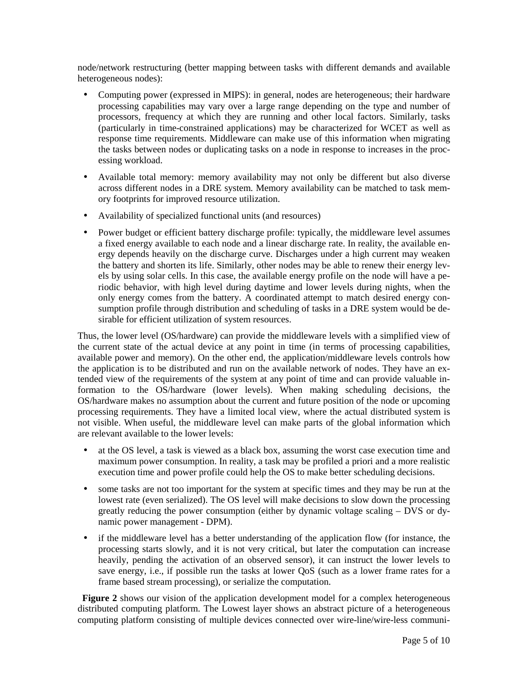node/network restructuring (better mapping between tasks with different demands and available heterogeneous nodes):

- Computing power (expressed in MIPS): in general, nodes are heterogeneous; their hardware processing capabilities may vary over a large range depending on the type and number of processors, frequency at which they are running and other local factors. Similarly, tasks (particularly in time-constrained applications) may be characterized for WCET as well as response time requirements. Middleware can make use of this information when migrating the tasks between nodes or duplicating tasks on a node in response to increases in the processing workload.
- Available total memory: memory availability may not only be different but also diverse across different nodes in a DRE system. Memory availability can be matched to task memory footprints for improved resource utilization.
- Availability of specialized functional units (and resources)
- Power budget or efficient battery discharge profile: typically, the middleware level assumes a fixed energy available to each node and a linear discharge rate. In reality, the available energy depends heavily on the discharge curve. Discharges under a high current may weaken the battery and shorten its life. Similarly, other nodes may be able to renew their energy levels by using solar cells. In this case, the available energy profile on the node will have a periodic behavior, with high level during daytime and lower levels during nights, when the only energy comes from the battery. A coordinated attempt to match desired energy consumption profile through distribution and scheduling of tasks in a DRE system would be desirable for efficient utilization of system resources.

Thus, the lower level (OS/hardware) can provide the middleware levels with a simplified view of the current state of the actual device at any point in time (in terms of processing capabilities, available power and memory). On the other end, the application/middleware levels controls how the application is to be distributed and run on the available network of nodes. They have an extended view of the requirements of the system at any point of time and can provide valuable information to the OS/hardware (lower levels). When making scheduling decisions, the OS/hardware makes no assumption about the current and future position of the node or upcoming processing requirements. They have a limited local view, where the actual distributed system is not visible. When useful, the middleware level can make parts of the global information which are relevant available to the lower levels:

- at the OS level, a task is viewed as a black box, assuming the worst case execution time and maximum power consumption. In reality, a task may be profiled a priori and a more realistic execution time and power profile could help the OS to make better scheduling decisions.
- some tasks are not too important for the system at specific times and they may be run at the lowest rate (even serialized). The OS level will make decisions to slow down the processing greatly reducing the power consumption (either by dynamic voltage scaling – DVS or dynamic power management - DPM).
- if the middleware level has a better understanding of the application flow (for instance, the processing starts slowly, and it is not very critical, but later the computation can increase heavily, pending the activation of an observed sensor), it can instruct the lower levels to save energy, i.e., if possible run the tasks at lower QoS (such as a lower frame rates for a frame based stream processing), or serialize the computation.

 **Figure 2** shows our vision of the application development model for a complex heterogeneous distributed computing platform. The Lowest layer shows an abstract picture of a heterogeneous computing platform consisting of multiple devices connected over wire-line/wire-less communi-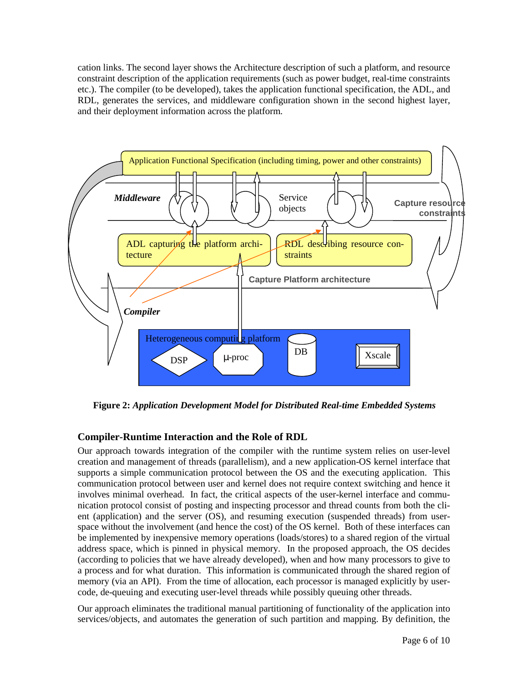cation links. The second layer shows the Architecture description of such a platform, and resource constraint description of the application requirements (such as power budget, real-time constraints etc.). The compiler (to be developed), takes the application functional specification, the ADL, and RDL, generates the services, and middleware configuration shown in the second highest layer, and their deployment information across the platform.



**Figure 2:** *Application Development Model for Distributed Real-time Embedded Systems* 

#### **Compiler-Runtime Interaction and the Role of RDL**

Our approach towards integration of the compiler with the runtime system relies on user-level creation and management of threads (parallelism), and a new application-OS kernel interface that supports a simple communication protocol between the OS and the executing application. This communication protocol between user and kernel does not require context switching and hence it involves minimal overhead. In fact, the critical aspects of the user-kernel interface and communication protocol consist of posting and inspecting processor and thread counts from both the client (application) and the server (OS), and resuming execution (suspended threads) from userspace without the involvement (and hence the cost) of the OS kernel. Both of these interfaces can be implemented by inexpensive memory operations (loads/stores) to a shared region of the virtual address space, which is pinned in physical memory. In the proposed approach, the OS decides (according to policies that we have already developed), when and how many processors to give to a process and for what duration. This information is communicated through the shared region of memory (via an API). From the time of allocation, each processor is managed explicitly by usercode, de-queuing and executing user-level threads while possibly queuing other threads.

Our approach eliminates the traditional manual partitioning of functionality of the application into services/objects, and automates the generation of such partition and mapping. By definition, the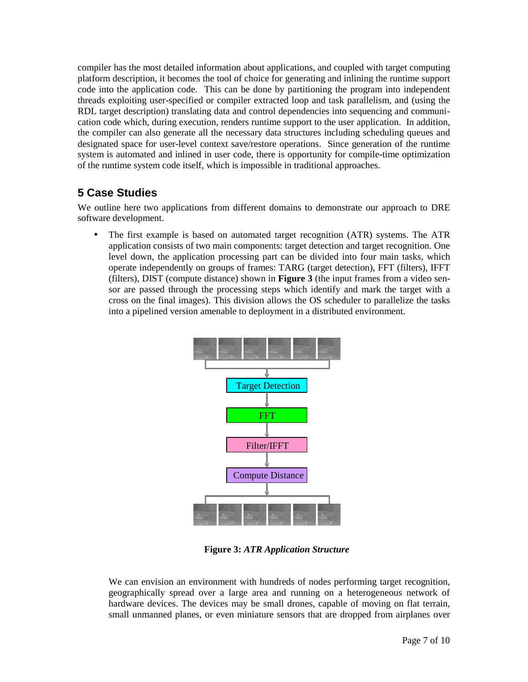compiler has the most detailed information about applications, and coupled with target computing platform description, it becomes the tool of choice for generating and inlining the runtime support code into the application code. This can be done by partitioning the program into independent threads exploiting user-specified or compiler extracted loop and task parallelism, and (using the RDL target description) translating data and control dependencies into sequencing and communication code which, during execution, renders runtime support to the user application. In addition, the compiler can also generate all the necessary data structures including scheduling queues and designated space for user-level context save/restore operations. Since generation of the runtime system is automated and inlined in user code, there is opportunity for compile-time optimization of the runtime system code itself, which is impossible in traditional approaches.

# **5 Case Studies**

We outline here two applications from different domains to demonstrate our approach to DRE software development.

• The first example is based on automated target recognition (ATR) systems. The ATR application consists of two main components: target detection and target recognition. One level down, the application processing part can be divided into four main tasks, which operate independently on groups of frames: TARG (target detection), FFT (filters), IFFT (filters), DIST (compute distance) shown in **Figure 3** (the input frames from a video sensor are passed through the processing steps which identify and mark the target with a cross on the final images). This division allows the OS scheduler to parallelize the tasks into a pipelined version amenable to deployment in a distributed environment.



**Figure 3:** *ATR Application Structure* 

We can envision an environment with hundreds of nodes performing target recognition, geographically spread over a large area and running on a heterogeneous network of hardware devices. The devices may be small drones, capable of moving on flat terrain, small unmanned planes, or even miniature sensors that are dropped from airplanes over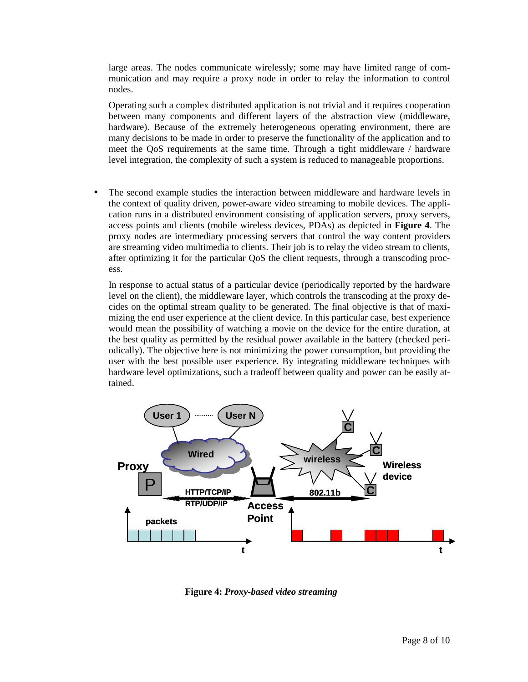large areas. The nodes communicate wirelessly; some may have limited range of communication and may require a proxy node in order to relay the information to control nodes.

Operating such a complex distributed application is not trivial and it requires cooperation between many components and different layers of the abstraction view (middleware, hardware). Because of the extremely heterogeneous operating environment, there are many decisions to be made in order to preserve the functionality of the application and to meet the QoS requirements at the same time. Through a tight middleware / hardware level integration, the complexity of such a system is reduced to manageable proportions.

• The second example studies the interaction between middleware and hardware levels in the context of quality driven, power-aware video streaming to mobile devices. The application runs in a distributed environment consisting of application servers, proxy servers, access points and clients (mobile wireless devices, PDAs) as depicted in **Figure 4**. The proxy nodes are intermediary processing servers that control the way content providers are streaming video multimedia to clients. Their job is to relay the video stream to clients, after optimizing it for the particular QoS the client requests, through a transcoding process.

In response to actual status of a particular device (periodically reported by the hardware level on the client), the middleware layer, which controls the transcoding at the proxy decides on the optimal stream quality to be generated. The final objective is that of maximizing the end user experience at the client device. In this particular case, best experience would mean the possibility of watching a movie on the device for the entire duration, at the best quality as permitted by the residual power available in the battery (checked periodically). The objective here is not minimizing the power consumption, but providing the user with the best possible user experience. By integrating middleware techniques with hardware level optimizations, such a tradeoff between quality and power can be easily attained.



**Figure 4:** *Proxy-based video streaming*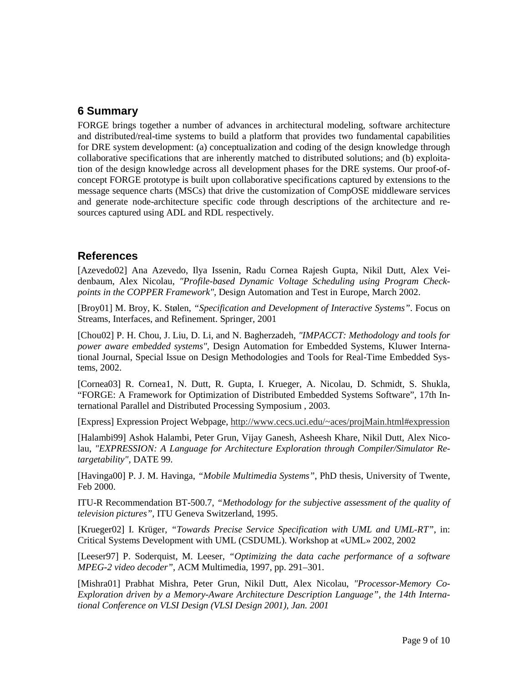## **6 Summary**

FORGE brings together a number of advances in architectural modeling, software architecture and distributed/real-time systems to build a platform that provides two fundamental capabilities for DRE system development: (a) conceptualization and coding of the design knowledge through collaborative specifications that are inherently matched to distributed solutions; and (b) exploitation of the design knowledge across all development phases for the DRE systems. Our proof-ofconcept FORGE prototype is built upon collaborative specifications captured by extensions to the message sequence charts (MSCs) that drive the customization of CompOSE middleware services and generate node-architecture specific code through descriptions of the architecture and resources captured using ADL and RDL respectively.

### **References**

[Azevedo02] Ana Azevedo, Ilya Issenin, Radu Cornea Rajesh Gupta, Nikil Dutt, Alex Veidenbaum, Alex Nicolau, *"Profile-based Dynamic Voltage Scheduling using Program Checkpoints in the COPPER Framework",* Design Automation and Test in Europe, March 2002.

[Broy01] M. Broy, K. Stølen, *"Specification and Development of Interactive Systems"*. Focus on Streams, Interfaces, and Refinement. Springer, 2001

[Chou02] P. H. Chou, J. Liu, D. Li, and N. Bagherzadeh, *"IMPACCT: Methodology and tools for power aware embedded systems",* Design Automation for Embedded Systems, Kluwer International Journal, Special Issue on Design Methodologies and Tools for Real-Time Embedded Systems, 2002.

[Cornea03] R. Cornea1, N. Dutt, R. Gupta, I. Krueger, A. Nicolau, D. Schmidt, S. Shukla, "FORGE: A Framework for Optimization of Distributed Embedded Systems Software", 17th International Parallel and Distributed Processing Symposium , 2003.

[Express] Expression Project Webpage, http://www.cecs.uci.edu/~aces/projMain.html#expression

[Halambi99] Ashok Halambi, Peter Grun, Vijay Ganesh, Asheesh Khare, Nikil Dutt, Alex Nicolau, *"EXPRESSION: A Language for Architecture Exploration through Compiler/Simulator Retargetability"*, DATE 99.

[Havinga00] P. J. M. Havinga, *"Mobile Multimedia Systems"*, PhD thesis, University of Twente, Feb 2000.

ITU-R Recommendation BT-500.7, *"Methodology for the subjective assessment of the quality of television pictures"*, ITU Geneva Switzerland, 1995.

[Krueger02] I. Krüger, *"Towards Precise Service Specification with UML and UML-RT"*, in: Critical Systems Development with UML (CSDUML). Workshop at «UML» 2002, 2002

[Leeser97] P. Soderquist, M. Leeser, *"Optimizing the data cache performance of a software MPEG-2 video decoder"*, ACM Multimedia, 1997, pp. 291–301.

[Mishra01] Prabhat Mishra, Peter Grun, Nikil Dutt, Alex Nicolau, *"Processor-Memory Co-Exploration driven by a Memory-Aware Architecture Description Language", the 14th International Conference on VLSI Design (VLSI Design 2001), Jan. 2001*